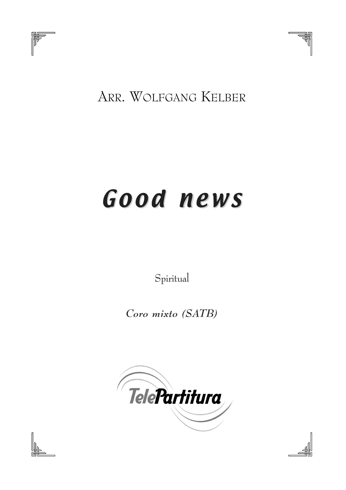

## ARR. WOLFGANG KELBER

## Good news Good news

*Spiritual*

**Coro mixto (SATB)**





ᇻ ₩

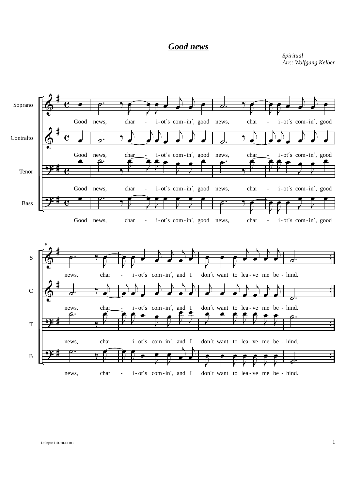## *Good news*

*Spiritual Arr.: Wolfgang Kelber*